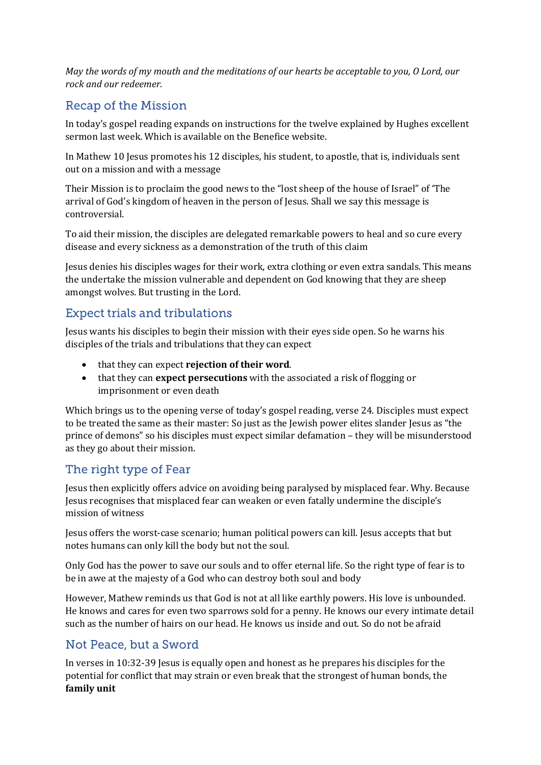*May the words of my mouth and the meditations of our hearts be acceptable to you, O Lord, our rock and our redeemer.*

# **Recap of the Mission**

In today's gospel reading expands on instructions for the twelve explained by Hughes excellent sermon last week. Which is available on the Benefice website.

In Mathew 10 Jesus promotes his 12 disciples, his student, to apostle, that is, individuals sent out on a mission and with a message

Their Mission is to proclaim the good news to the "lost sheep of the house of Israel" of 'The arrival of God's kingdom of heaven in the person of Jesus. Shall we say this message is controversial.

To aid their mission, the disciples are delegated remarkable powers to heal and so cure every disease and every sickness as a demonstration of the truth of this claim

Jesus denies his disciples wages for their work, extra clothing or even extra sandals. This means the undertake the mission vulnerable and dependent on God knowing that they are sheep amongst wolves. But trusting in the Lord.

## **Expect trials and tribulations**

Jesus wants his disciples to begin their mission with their eyes side open. So he warns his disciples of the trials and tribulations that they can expect

- that they can expect **rejection of their word**.
- that they can **expect persecutions** with the associated a risk of flogging or imprisonment or even death

Which brings us to the opening verse of today's gospel reading, verse 24. Disciples must expect to be treated the same as their master: So just as the Jewish power elites slander Jesus as "the prince of demons" so his disciples must expect similar defamation – they will be misunderstood as they go about their mission.

#### The right type of Fear

Jesus then explicitly offers advice on avoiding being paralysed by misplaced fear. Why. Because Jesus recognises that misplaced fear can weaken or even fatally undermine the disciple's mission of witness

Jesus offers the worst-case scenario; human political powers can kill. Jesus accepts that but notes humans can only kill the body but not the soul.

Only God has the power to save our souls and to offer eternal life. So the right type of fear is to be in awe at the majesty of a God who can destroy both soul and body

However, Mathew reminds us that God is not at all like earthly powers. His love is unbounded. He knows and cares for even two sparrows sold for a penny. He knows our every intimate detail such as the number of hairs on our head. He knows us inside and out. So do not be afraid

## Not Peace, but a Sword

In verses in 10:32-39 Jesus is equally open and honest as he prepares his disciples for the potential for conflict that may strain or even break that the strongest of human bonds, the **family unit**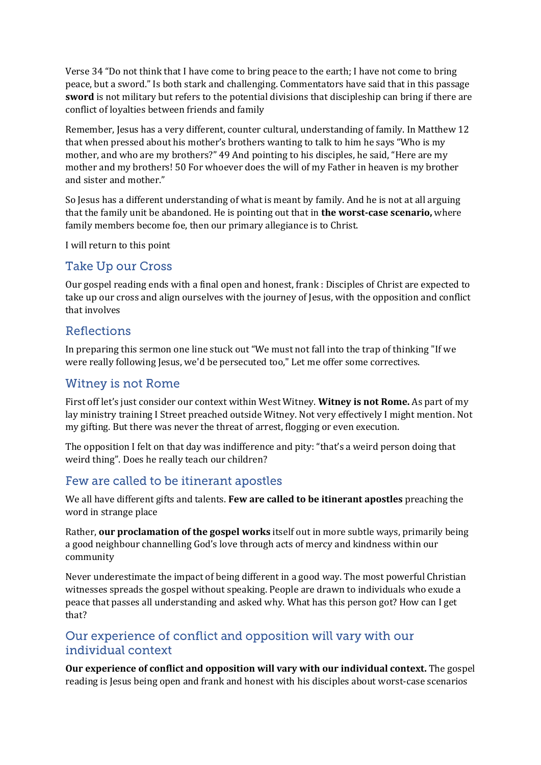Verse 34 "Do not think that I have come to bring peace to the earth; I have not come to bring peace, but a sword." Is both stark and challenging. Commentators have said that in this passage **sword** is not military but refers to the potential divisions that discipleship can bring if there are conflict of loyalties between friends and family

Remember, Jesus has a very different, counter cultural, understanding of family. In Matthew 12 that when pressed about his mother's brothers wanting to talk to him he says "Who is my mother, and who are my brothers?" 49 And pointing to his disciples, he said, "Here are my mother and my brothers! 50 For whoever does the will of my Father in heaven is my brother and sister and mother."

So Jesus has a different understanding of what is meant by family. And he is not at all arguing that the family unit be abandoned. He is pointing out that in **the worst-case scenario,** where family members become foe, then our primary allegiance is to Christ.

I will return to this point

#### **Take Up our Cross**

Our gospel reading ends with a final open and honest, frank : Disciples of Christ are expected to take up our cross and align ourselves with the journey of Jesus, with the opposition and conflict that involves

## **Reflections**

In preparing this sermon one line stuck out "We must not fall into the trap of thinking "If we were really following Jesus, we'd be persecuted too," Let me offer some correctives.

#### **Witney is not Rome**

First off let's just consider our context within West Witney. **Witney is not Rome.** As part of my lay ministry training I Street preached outside Witney. Not very effectively I might mention. Not my gifting. But there was never the threat of arrest, flogging or even execution.

The opposition I felt on that day was indifference and pity: "that's a weird person doing that weird thing". Does he really teach our children?

#### Few are called to be itinerant apostles

We all have different gifts and talents. **Few are called to be itinerant apostles** preaching the word in strange place

Rather, **our proclamation of the gospel works** itself out in more subtle ways, primarily being a good neighbour channelling God's love through acts of mercy and kindness within our community

Never underestimate the impact of being different in a good way. The most powerful Christian witnesses spreads the gospel without speaking. People are drawn to individuals who exude a peace that passes all understanding and asked why. What has this person got? How can I get that?

## Our experience of conflict and opposition will vary with our individual context

**Our experience of conflict and opposition will vary with our individual context.** The gospel reading is Jesus being open and frank and honest with his disciples about worst-case scenarios